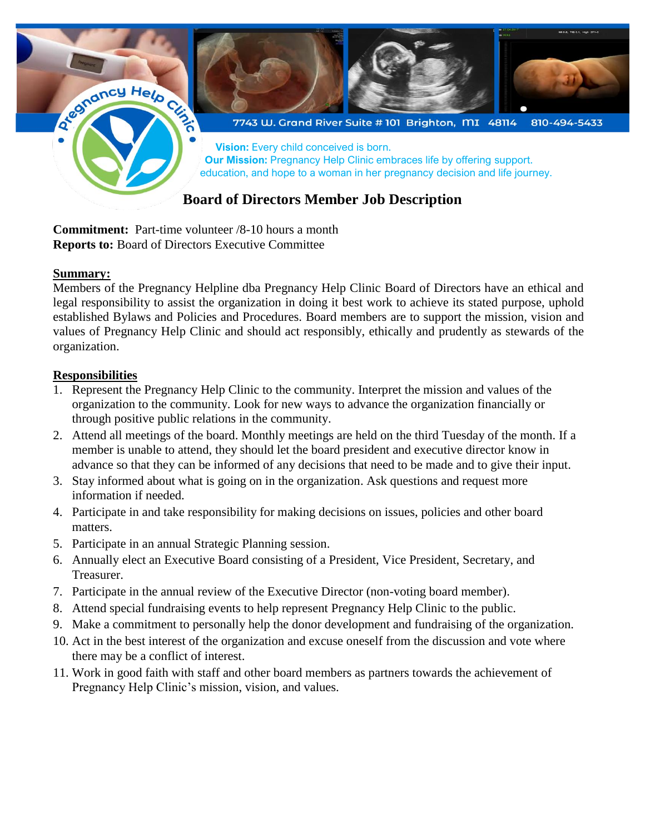

**Commitment:** Part-time volunteer /8-10 hours a month **Reports to:** Board of Directors Executive Committee

#### **Summary:**

Members of the Pregnancy Helpline dba Pregnancy Help Clinic Board of Directors have an ethical and legal responsibility to assist the organization in doing it best work to achieve its stated purpose, uphold established Bylaws and Policies and Procedures. Board members are to support the mission, vision and values of Pregnancy Help Clinic and should act responsibly, ethically and prudently as stewards of the organization.

### **Responsibilities**

- 1. Represent the Pregnancy Help Clinic to the community. Interpret the mission and values of the organization to the community. Look for new ways to advance the organization financially or through positive public relations in the community.
- 2. Attend all meetings of the board. Monthly meetings are held on the third Tuesday of the month. If a member is unable to attend, they should let the board president and executive director know in advance so that they can be informed of any decisions that need to be made and to give their input.
- 3. Stay informed about what is going on in the organization. Ask questions and request more information if needed.
- 4. Participate in and take responsibility for making decisions on issues, policies and other board matters.
- 5. Participate in an annual Strategic Planning session.
- 6. Annually elect an Executive Board consisting of a President, Vice President, Secretary, and Treasurer.
- 7. Participate in the annual review of the Executive Director (non-voting board member).
- 8. Attend special fundraising events to help represent Pregnancy Help Clinic to the public.
- 9. Make a commitment to personally help the donor development and fundraising of the organization.
- 10. Act in the best interest of the organization and excuse oneself from the discussion and vote where there may be a conflict of interest.
- 11. Work in good faith with staff and other board members as partners towards the achievement of Pregnancy Help Clinic's mission, vision, and values.